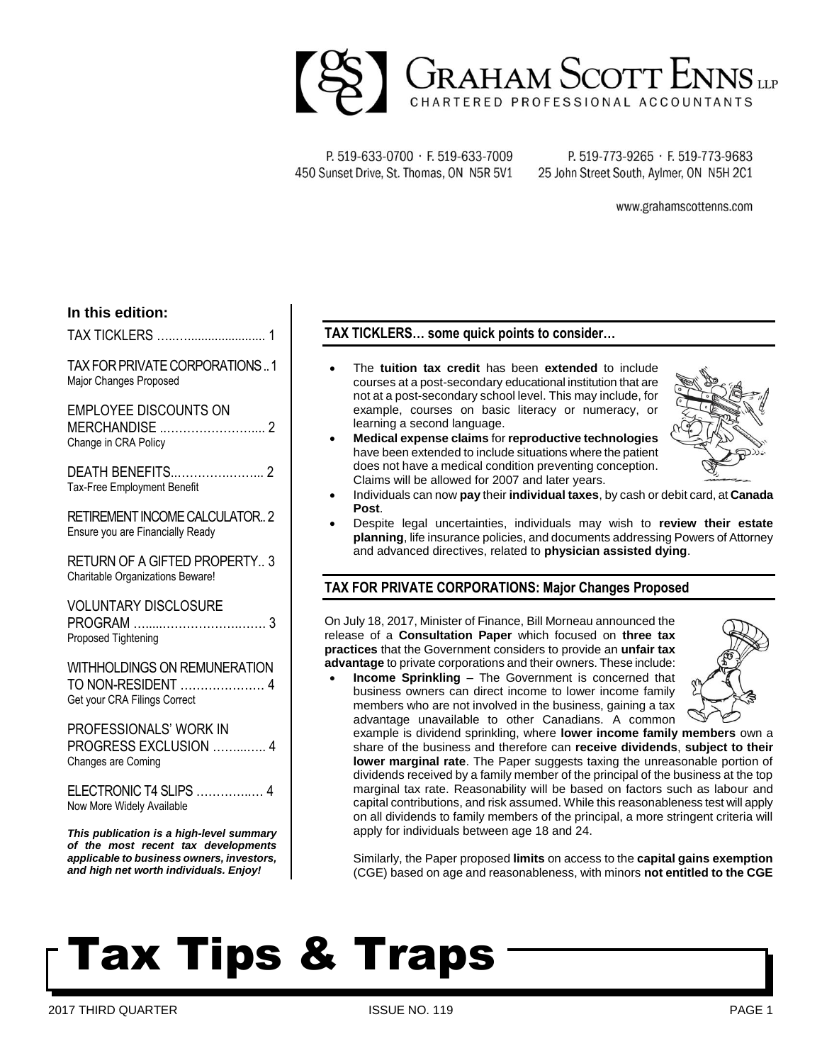

P. 519-633-0700 · F. 519-633-7009 450 Sunset Drive, St. Thomas, ON N5R 5V1

P. 519-773-9265 · F. 519-773-9683 25 John Street South, Aylmer, ON N5H 2C1

www.grahamscottenns.com

## **In this edition:**

TAX TICKLERS …..…....................... 1

TAX FOR PRIVATE CORPORATIONS..1 Major Changes Proposed

EMPLOYEE DISCOUNTS ON MERCHANDISE ..………………….... 2 Change in CRA Policy

DEATH BENEFITS..………….……... 2 Tax-Free Employment Benefit

RETIREMENT INCOME CALCULATOR.. 2 Ensure you are Financially Ready

RETURN OF A GIFTED PROPERTY.. 3 Charitable Organizations Beware!

VOLUNTARY DISCLOSURE PROGRAM ….....……………….……. 3 Proposed Tightening

WITHHOLDINGS ON REMUNERATION TO NON-RESIDENT ………………… 4 Get your CRA Filings Correct

PROFESSIONALS' WORK IN PROGRESS EXCLUSION ……...….. 4 Changes are Coming

ELECTRONIC T4 SLIPS …………..… 4 Now More Widely Available

*This publication is a high-level summary of the most recent tax developments applicable to business owners, investors, and high net worth individuals. Enjoy!*

# **TAX TICKLERS… some quick points to consider…**

- The **tuition tax credit** has been **extended** to include courses at a post-secondary educational institution that are not at a post-secondary school level. This may include, for example, courses on basic literacy or numeracy, or learning a second language.
- **Medical expense claims** for **reproductive technologies** have been extended to include situations where the patient does not have a medical condition preventing conception. Claims will be allowed for 2007 and later years.



- Individuals can now **pay** their **individual taxes**, by cash or debit card, at **Canada Post**.
- Despite legal uncertainties, individuals may wish to **review their estate planning**, life insurance policies, and documents addressing Powers of Attorney and advanced directives, related to **physician assisted dying**.

## **TAX FOR PRIVATE CORPORATIONS: Major Changes Proposed**

On July 18, 2017, Minister of Finance, Bill Morneau announced the release of a **Consultation Paper** which focused on **three tax practices** that the Government considers to provide an **unfair tax advantage** to private corporations and their owners. These include:

**Income Sprinkling** – The Government is concerned that business owners can direct income to lower income family members who are not involved in the business, gaining a tax advantage unavailable to other Canadians. A common



example is dividend sprinkling, where **lower income family members** own a share of the business and therefore can **receive dividends**, **subject to their lower marginal rate**. The Paper suggests taxing the unreasonable portion of dividends received by a family member of the principal of the business at the top marginal tax rate. Reasonability will be based on factors such as labour and capital contributions, and risk assumed. While this reasonableness test will apply on all dividends to family members of the principal, a more stringent criteria will apply for individuals between age 18 and 24.

Similarly, the Paper proposed **limits** on access to the **capital gains exemption** (CGE) based on age and reasonableness, with minors **not entitled to the CGE**

# Tax Tips & Traps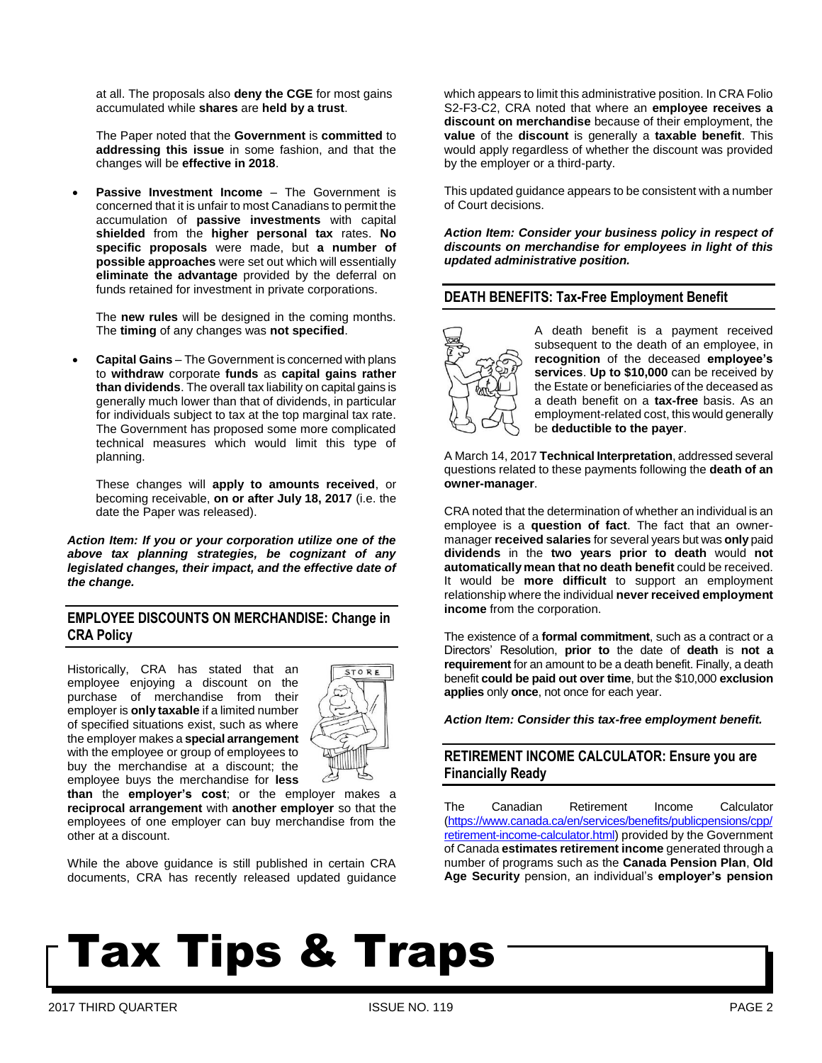at all. The proposals also **deny the CGE** for most gains accumulated while **shares** are **held by a trust**.

The Paper noted that the **Government** is **committed** to **addressing this issue** in some fashion, and that the changes will be **effective in 2018**.

**Passive Investment Income** – The Government is concerned that it is unfair to most Canadians to permit the accumulation of **passive investments** with capital **shielded** from the **higher personal tax** rates. **No specific proposals** were made, but **a number of possible approaches** were set out which will essentially **eliminate the advantage** provided by the deferral on funds retained for investment in private corporations.

The **new rules** will be designed in the coming months. The **timing** of any changes was **not specified**.

• **Capital Gains** – The Government is concerned with plans to **withdraw** corporate **funds** as **capital gains rather than dividends**. The overall tax liability on capital gains is generally much lower than that of dividends, in particular for individuals subject to tax at the top marginal tax rate. The Government has proposed some more complicated technical measures which would limit this type of planning.

These changes will **apply to amounts received**, or becoming receivable, **on or after July 18, 2017** (i.e. the date the Paper was released).

*Action Item: If you or your corporation utilize one of the above tax planning strategies, be cognizant of any legislated changes, their impact, and the effective date of the change.*

# **EMPLOYEE DISCOUNTS ON MERCHANDISE: Change in CRA Policy**

Historically, CRA has stated that an employee enjoying a discount on the purchase of merchandise from their employer is **only taxable** if a limited number of specified situations exist, such as where the employer makes a **special arrangement** with the employee or group of employees to buy the merchandise at a discount; the employee buys the merchandise for **less** 



**than** the **employer's cost**; or the employer makes a **reciprocal arrangement** with **another employer** so that the employees of one employer can buy merchandise from the other at a discount.

While the above guidance is still published in certain CRA documents, CRA has recently released updated guidance which appears to limit this administrative position. In CRA Folio S2-F3-C2, CRA noted that where an **employee receives a discount on merchandise** because of their employment, the **value** of the **discount** is generally a **taxable benefit**. This would apply regardless of whether the discount was provided by the employer or a third-party.

This updated guidance appears to be consistent with a number of Court decisions.

*Action Item: Consider your business policy in respect of discounts on merchandise for employees in light of this updated administrative position.*

## **DEATH BENEFITS: Tax-Free Employment Benefit**



A death benefit is a payment received subsequent to the death of an employee, in **recognition** of the deceased **employee's services**. **Up to \$10,000** can be received by the Estate or beneficiaries of the deceased as a death benefit on a **tax-free** basis. As an employment-related cost, this would generally be **deductible to the payer**.

A March 14, 2017 **Technical Interpretation**, addressed several questions related to these payments following the **death of an owner-manager**.

CRA noted that the determination of whether an individual is an employee is a **question of fact**. The fact that an ownermanager **received salaries** for several years but was **only** paid **dividends** in the **two years prior to death** would **not automatically mean that no death benefit** could be received. It would be **more difficult** to support an employment relationship where the individual **never received employment income** from the corporation.

The existence of a **formal commitment**, such as a contract or a Directors' Resolution, **prior to** the date of **death** is **not a requirement** for an amount to be a death benefit. Finally, a death benefit **could be paid out over time**, but the \$10,000 **exclusion applies** only **once**, not once for each year.

*Action Item: Consider this tax-free employment benefit.*

# **RETIREMENT INCOME CALCULATOR: Ensure you are Financially Ready**

The Canadian Retirement Income Calculator [\(https://www.canada.ca/en/services/benefits/publicpensions/cpp/](https://www.canada.ca/en/services/benefits/publicpensions/cpp/retirement-income-calculator.html) [retirement-income-calculator.html\)](https://www.canada.ca/en/services/benefits/publicpensions/cpp/retirement-income-calculator.html) provided by the Government of Canada **estimates retirement income** generated through a number of programs such as the **Canada Pension Plan**, **Old Age Security** pension, an individual's **employer's pension**

# Tax Tips & Traps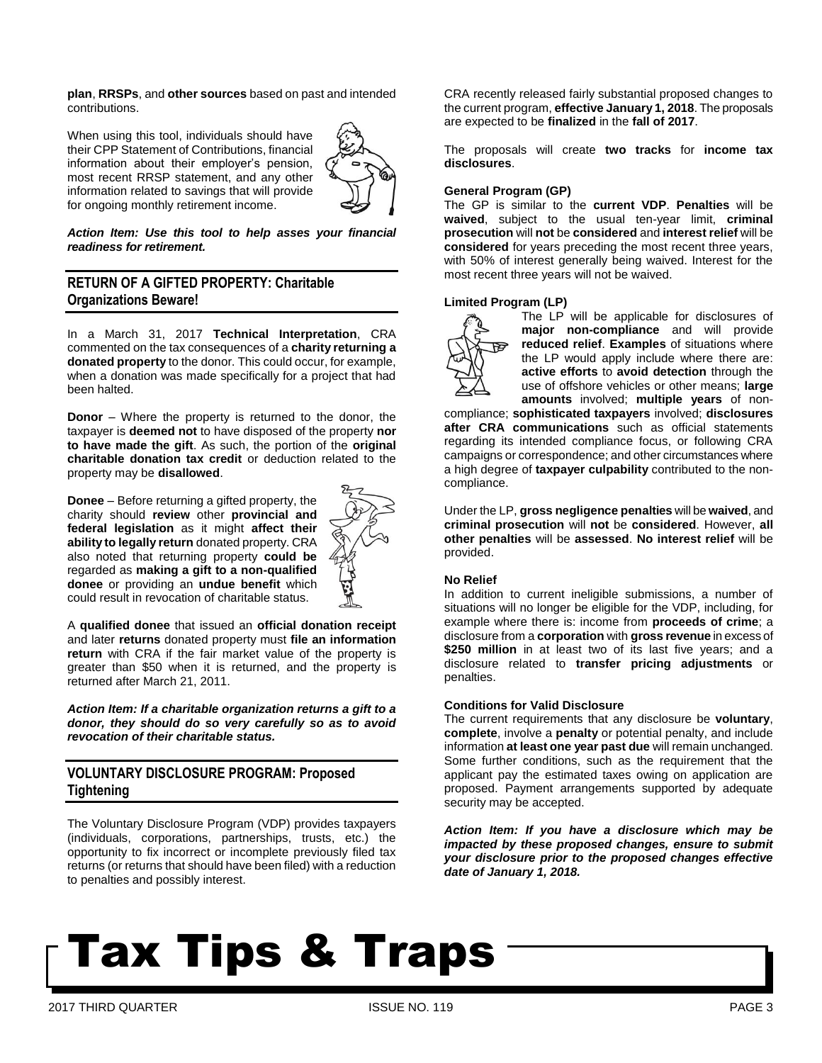**plan**, **RRSPs**, and **other sources** based on past and intended contributions.

When using this tool, individuals should have their CPP Statement of Contributions, financial information about their employer's pension, most recent RRSP statement, and any other information related to savings that will provide for ongoing monthly retirement income.



### *Action Item: Use this tool to help asses your financial readiness for retirement.*

# **RETURN OF A GIFTED PROPERTY: Charitable Organizations Beware!**

In a March 31, 2017 **Technical Interpretation**, CRA commented on the tax consequences of a **charity returning a donated property** to the donor. This could occur, for example, when a donation was made specifically for a project that had been halted.

**Donor** – Where the property is returned to the donor, the taxpayer is **deemed not** to have disposed of the property **nor to have made the gift**. As such, the portion of the **original charitable donation tax credit** or deduction related to the property may be **disallowed**.

**Donee** – Before returning a gifted property, the charity should **review** other **provincial and federal legislation** as it might **affect their ability to legally return** donated property. CRA also noted that returning property **could be** regarded as **making a gift to a non-qualified donee** or providing an **undue benefit** which could result in revocation of charitable status.



A **qualified donee** that issued an **official donation receipt** and later **returns** donated property must **file an information return** with CRA if the fair market value of the property is greater than \$50 when it is returned, and the property is returned after March 21, 2011.

*Action Item: If a charitable organization returns a gift to a donor, they should do so very carefully so as to avoid revocation of their charitable status.*

# **VOLUNTARY DISCLOSURE PROGRAM: Proposed Tightening**

The Voluntary Disclosure Program (VDP) provides taxpayers (individuals, corporations, partnerships, trusts, etc.) the opportunity to fix incorrect or incomplete previously filed tax returns (or returns that should have been filed) with a reduction to penalties and possibly interest.

CRA recently released fairly substantial proposed changes to the current program, **effective January 1, 2018**. The proposals are expected to be **finalized** in the **fall of 2017**.

The proposals will create **two tracks** for **income tax disclosures**.

### **General Program (GP)**

The GP is similar to the **current VDP**. **Penalties** will be **waived**, subject to the usual ten-year limit, **criminal prosecution** will **not** be **considered** and **interest relief** will be **considered** for years preceding the most recent three years, with 50% of interest generally being waived. Interest for the most recent three years will not be waived.

### **Limited Program (LP)**



The LP will be applicable for disclosures of **major non-compliance** and will provide **reduced relief**. **Examples** of situations where the LP would apply include where there are: **active efforts** to **avoid detection** through the use of offshore vehicles or other means; **large amounts** involved; **multiple years** of non-

compliance; **sophisticated taxpayers** involved; **disclosures after CRA communications** such as official statements regarding its intended compliance focus, or following CRA campaigns or correspondence; and other circumstances where a high degree of **taxpayer culpability** contributed to the noncompliance.

Under the LP, **gross negligence penalties** will be **waived**, and **criminal prosecution** will **not** be **considered**. However, **all other penalties** will be **assessed**. **No interest relief** will be provided.

#### **No Relief**

In addition to current ineligible submissions, a number of situations will no longer be eligible for the VDP, including, for example where there is: income from **proceeds of crime**; a disclosure from a **corporation** with **gross revenue** in excess of **\$250 million** in at least two of its last five years; and a disclosure related to **transfer pricing adjustments** or penalties.

#### **Conditions for Valid Disclosure**

The current requirements that any disclosure be **voluntary**, **complete**, involve a **penalty** or potential penalty, and include information **at least one year past due** will remain unchanged. Some further conditions, such as the requirement that the applicant pay the estimated taxes owing on application are proposed. Payment arrangements supported by adequate security may be accepted.

*Action Item: If you have a disclosure which may be impacted by these proposed changes, ensure to submit your disclosure prior to the proposed changes effective date of January 1, 2018.*

# Tax Tips & Traps